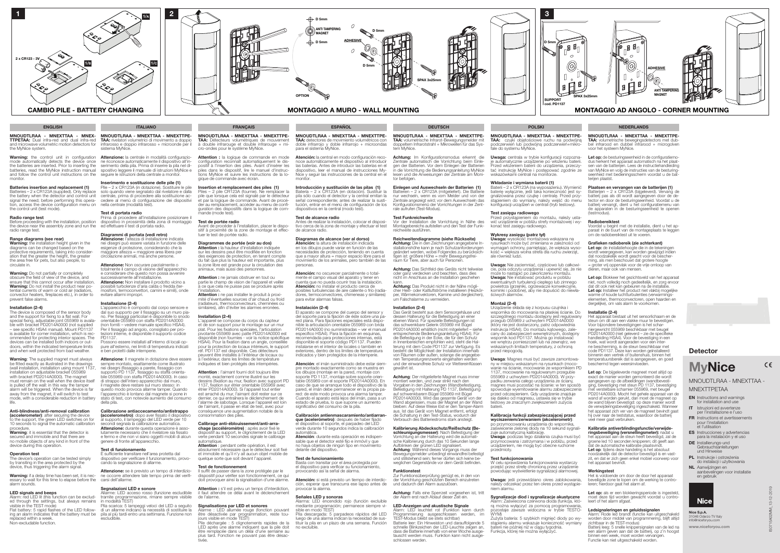- EN Instructions and warnings for installation and use
- IT Istruzioni ed avvertenze per l'installazione e l'uso FR Instructions et avertissements
- pour l'installation et l'utilisation
- ES Instrucciones y advertencias para la instalación y el uso
- DE Installierungs-und Gebrauchsanleitungen und Hinweise
- PL Instrukcje i ostrzeżenia do instalacji i użytkowania
- NL Aanwijzingen en aanbevelingen voor installatie en gebruik



## MNOUDTLRAA - MNEXTTAA - MNEXTTPETAA

Warning: the control unit in configuration<br>mode automatically detects the device once<br>the batteries are inserted. Prior to inserting the batteries, read the MyNice instruction manual and follow the control unit instructions on the seguire le istruzioni della centrale a monitor. monitor.



Before proceeding with the installation, position dispositivo in prossimità della zona di montaggio **Test di portata radio**<br>Prima di procedere all'installazione posizionare il

TTPETAA: Dual infra-red and dual infra-red the MyNice system.

Warning: Do not partially or completely obscure the field of view of the device, and ensure that this cannot occur after installation. **Warning:** Do not install the product near po-<br>tential currents of warm or cold air (radiators,<br>convector heaters, fireplaces etc.), in order to prevent false alarms.

## Batteries insertion and replacement (1)

Batteries – 2 x CR123A (supplied). Only replace signal the need; before performing this opera-tion, access the device configuration menu on nella centrale (modalità test). the control unit (test mode).

The device is composed of the sensor body<br>and the support for fixing to a flat wall. For<br>special fixing, adjustable joint 055969 is availa-<br>ble with bracket PD2014A0000 (not supplied – see specific HSA4 manual). Mount PD1137 is available for corner installation, which is rec- ommended for protecting interior spaces. The devices can be installed both indoors or out- doors, within the indicated temperature limits and when well protected from bad weather.

## Radio range test

the device near the assembly zone and run the ed effettuare il test di portata radio. radio range test.

## Range diagrams (see rear)

Warning: the installation height given in the diagrams can be changed based on the protective requirements, taking into consider-ation that the greater the height, the greater the area free for pets, but also people, to ulate in.

Warning: The supplied magnet must always be fitted exactly as illustrated in the drawings (wall installation, installation using mount 1137, installation on adjustable bracket 055969 with bracket PD2014A0000). The magnet must remain on the wall when the device itself is pulled off the wall: in this way the tamper alarm will be triggered. When the device is far away from the magnet, it will switch to test mode, with a considerable reduction in battery life.

**(accelerometer)**: after securing the device<br>to the support, the green LED switches on for<br>10 seconds to signal the automatic calibration procedure.

Warning: it is essential that the detector is secured and immobile and that there are no mobile objects of any kind in front of the device during this operation.

The device's operation can be tested simply by transiting in the area protected by the device, thus triggering the alarm signal.

**Warning:** if a delay time has been set, it is nec-<br>essary to wait for this time to elapse before the<br>alarm sounds.

## Installation (2-4)

MNOUDTLRAA - MNEXTTAA - MNEX-MNOUDTLRAA - MNEXTTAA - MNEXTTPEand microwave volumetric motion detectors for infrarosso e doppio infrarosso + microonde per il TAA: rivelatori volumetrici di movimento a doppio sistema MyNice.

 $\begin{array}{|c|c|} \hline \textbf{2} & \textbf{2} \\\hline \end{array}$ 

**Attenzione:** la centrale in modalità configurazio-<br>ne riconosce automaticamente il dispositivo all'in-<br>serimento della pila. Prima di inserire la pila nel di-<br>spositivo leggere il manuale di istruzioni MyNice e

**Attenzione:** l'altezza di installazione indicata<br>nei disegni può essere variata in funzione delle esigenze di protezione, considerando che la maggiore altezza = maggiore area libera per circolazione animali, ma anche persone.

Attenzione: Non oscurare parzialmente o totalmente il campo di visione dell'apparecchio e considerare che questo non possa avvenire successivamente all'installazione.<br>**Attenzione:** Non installare il prodotto vicino a possibili turbolenze d'aria calda o fredda (ter- mosifoni, termoconvettori, camini e simili), onde evitare allarmi impropri.

## Anti-blindness/anti-removal calibration

Attenzione: Il magnete in dotazione deve essere sempre montato, esattamente come illustrato nei disegni (fissaggio a parete, fissaggio con supporto PD 1137, fissaggio su staffa orienta- bile 055969 con staffa PD2014A0000). In caso di strappo dell'intero apparecchio dal muro, il magnete deve restare sul muro stesso: in questo modo provoca allarme tamper. Quando l'apparecchio è lontano dal magnete si pone in stato di test, con notevole aumento del consumo della pila.

### Operation test

## LED signals and beeps

Alarm: red LED lit (this function can be exclud- tramite programmazione, rimane sempre visibile <br>ed through the settings, but always remains in modalità TEST) Allarme: LED acceso rosso (funzione escludibile Pila scarica: 5 lampeggi veloci del LED a seguito

Flat battery: 5 rapid flashes of the LED follow- ai un allarme indicano la necessità di sostituire la<br>ing an alarm indicates that the battery must be a pila al più tardi entro una settimana. Funzione non escludibile.

visible in the TEST mode) replaced within a week. Non-excludable function.

Attention : la logique de commande en mode configuration reconnaît automatiquement le dis-positif à l'insertion des piles. Avant d'insérer les piles dans le dispositif, lire le manuel d'instruc- tions MyNice et suivre les instructions de la lo- gique de commande avec écran.

Piles – 2 pile CR123A (fournie). Ne remplacer la pile que lorsque cela est signalé par le détecteur<br>et par la logique de commande. Avant de procé-<br>der au remplacement, accéder au menu de confi-<br>guration des dispositifs dans la logique de com-<br>mande (mode test).

## Inserimento e sostituzione delle pile (1)

the battery when the detector and control unit contrale, prima di procedere alla sostituzione ac-Pile – 2 x CR123A (in dotazione). Sostituire le pile solo quando viene segnalato dal rivelatore e dalla centrale, prima di procedere alla sostituzione ac-

Attention : ne jamais obstruer en tout ou partie le champ de vision de l'appareil et veiller à ce que cela ne puisse pas se produire après

l'installation.<br>**Attention :** ne pas installer le produit à proxi-<br>mité d'éventuelles sources d'air chaud ou froid (radiateurs, thermoconvecteurs, cheminées ou similaires), afin d'éviter les alarmes erronées.

## Diagrammi di portata (vedi retro)

**Attention** : pendant cette opération, il est absolument nécessaire que le détecteur soit fixé et immobile et qu'il n'y ait aucun objet mobile de quelque sorte que soit devant l'appareil.

**Test de fonctionnement**<br>Il suffit de passer dans la zone protégée par le<br>dispositif pour vérifier son fonctionnement, ce qui doit provoquer ainsi la signalisation d'une alarme.

## Installazione (2-4)

Pile déchargée : 5 clignotements rapides de la LED après une alarme indiquent que la pile doit être remplacée dans un délai d'une semaine au plus tard. Fonction ne pouvant pas être désac-

L'apparecchio è composto dal corpo sensore e dal suo supporto per il fissaggio su un muro pia-<br>no. Per fissaggi particolari è disponibile lo snodo<br>orientabile 055969 con staffa PD2014A0000 (non forniti – vedere manuale specifico HSA4). Per il fissaggio ad angolo, consigliato per pro- tezioni interne, è disponibile il supporto codice PD1137.

Possono essere installati all'interno di locali op- pure all'esterno, nei limiti di temperatura indicati e ben protetti dalle intemperie.

Atención: la altura de instalación indicada en los dibujos puede variar en función de las necesidades de protección, teniendo en cuenta que a mayor altura = mayor espacio libre para el movimiento de los animales, pero también de las personas.

**Atención:** no oscurecer parcialmente o total-<br>mente el campo visual del aparato y tener en<br>cuenta que no pueda ocurrir tras la instalación. Atención: no instalar el producto cerca de posibles turbulencias de aire caliente o frío (radia- dores, termoconvectores, chimeneas y similares) para evitar alarmas falsas.

## Calibrazione antiaccecamento/antistrappo **(accelerometro)**: dopo aver fissato il dispositivo<br>al supporto, il lampeggio del LED verde per 10 secondi segnala la calibrazione automatica.<br>**Attenzione:** durante questa operazione è asso-**Attenzione:** durante questa operazione è asso-<br>lutamente necessario che il rivelatore sia fissato<br>e fermo e che non vi siano oggetti mobili di alcun genere di fronte all'apparecchio.

El aparato se compone del cuerpo del sensor y<br>del soporte para la fijación de éste sobre una pa-<br>red plana. Para fijaciones especiales está dispo-<br>nible la articulación orientable 055969 con brida PD2014A0000 (no suministradas – ver el manual específico HSA4). Para la fijación en esquinas, recomendada para protecciones internas, está disponible el soporte código PD1137. Pueden instalarse en el interior de locales o también en exteriores, dentro de los límites de temperatura indicados y bien protegidos de la intemperie.

### Test di funzionamento

**Atención**: el imán suministrado debe estar siem-<br>pre montado exactamente como se muestra en<br>los dibujos (montaje en la pared, montaje con soporte PD 1137, montaje sobre soporte orien- table 055969 con el soporte PD2014A0000). En caso de que se arranque todo el dispositivo de la pared, el imán debe permanecer en la propia pared: de este modo provoca una alarma tamper. Cuando el aparato está lejos del imán, pasa a un estado de prueba, lo que supone un aumento significativo del consumo de la pila.

È sufficiente transitare nell'area protetta dal dispositivo per verificare il funzionamento, provo- cando la segnalazione di allarme.

Attenzione: se è previsto un tempo di interdizione occorre attendere tale tempo prima del verifi-

verco el.<br>automática. **Atención:**<br>Atención: durante esta operación es indispen-<br>sable que el detector esté fijo e inmóvil y que no haya objetos de ningún tipo en movimiento delante del dispositivo.

## Segnalazioni LED e sonore

MNOUDTLRAA - MNEXTTAA - MNEXTTPE-TAA: Détecteurs volumétriques de mouvement à double infrarouge et double infrarouge + micro-ondes pour le système MyNice.

> Achtung: Im Konfigurationsmodus erkennt die Zentrale automatisch die Vorrichtung beim Einle-gen der Batterien. Vor dem Einlegen der Batterien in die Vorrichtung die Bedienungsanleitung MyNice lesen und die Anweisungen der Zentrale am Monitor befolgen.

**Einlegen und Auswechseln der Batterien (1)**<br>Batterien – 2 x CR123A (mitgeliefert). Die Batterie<br>nur wechseln, wenn es vom Melder und von der Zentrale angezeigt wird; vor dem Auswechseln das Konfigurationsmenü der Vorrichtungen in der Zentrale aufrufen (Test-Modus).

## Insertion et remplacement des piles (1)

Achtung: Das Sichtfeld des Geräts nicht teilweise oder ganz verdecken und beachten, dass dies nicht im Anschluss an die Installation geschehen kann.<br>**Achtung:** Das Produkt nicht in der Nähe mögli-

### Test de portée radio

Avant de procéder à l'installation, placer le dispo- sitif à proximité de la zone de montage et effec- tuer le test de portée radio.

## Diagrammes de portée (voir au dos)

das schwenkbare Gelenk 055969 mit Bügel<br>PD201440000 erhältlich (nicht mitgeliefert – siehe PD2014A0000 erhältlich (nicht mitgeliefer entsprechende Bedienungsanleitung HSA4). Für die Befestigung in der Ecke, die für den Schutz in Innenbereichen empfohlen wird, steht die Hal-terung mit dem Code PD1137 zur Verfügung. Es besteht die Möglichkeit der Installation innerhalb von Räumen oder außen, solange die angegebenen Temperaturgrenzwerte eingehalten werden und der einwandfreie Schutz vor Wettereinflüssen

Attention : la hauteur d'installation indiquée sur les dessins peut être modifiée en fonction des exigences de protection, en tenant compte du fait que plus la hauteur est importante, plus la zone libre est grande pour la circulation des animaux, mais aussi des personnes.

> Achtung: Der mitgelieferte Magnet muss immer montiert werden, und zwar strikt nach den Vorgaben in den Zeichnungen (Wandbefestigung, Befestigung mit Halterung PD 1137, Befestigung auf schwenkbarem Bügel 055969 mit Bügel PD2014A0000). Wird das gesamte Gerät von der Wand abgerissen, muss der Magnet an der Wand bleiben: Auf diese Weise löst er den Tamper-Alarm aus. Ist das Gerät vom Magnet entfernt, erfolgt die Schaltung in den Test-Status, wodurch der Verbrauch des Batteriestroms stark ansteigt. Kalibrierung Abdeckschutz/Reißschutz (Be **schleunigungsmesser)**: Nach Befestigung der<br>Vorrichtung an der Halterung wird die automatische Kalibrierung durch das 10 Sekunden lange Aufblinken der grünen LED signalisiert.<br>**Achtung**: Während dieses Vorgangs muss der Bewegungsmelder unbedingt einwandfrei befestigt und stillstehend sein; ferner dürfen sich keine be weglichen Gegenstände vor dem Gerät befinden.

## Installation (2-4)

MNOUDTLRAA - MNEXTTAA - MNEXTTPE- TAA: czujki objętościowe ruchu na podwójną podczerwień lub podwójną podczerwień+mikro<br>fale do systemu MyNice.

**Uwaga:** centrala w trybie konfiguracji rozpozna-<br>je automatycznie urządzenie po włożeniu baterii.<br>Przed włożeniem baterii do urządzenia, przeczy-Przed wieczynem baterii do urządzeniem baterii do urządzenia ze wskazówkami centrali na monitorze.

L'appareil se compose du corps du capteur et de son support pour le montage sur un mur plat. Pour les fixations spéciales, l'articulation pivotante 055969 avec patte PD2014A0000 est disponible (non fournies - voir la notice spécifique HSA4). Pour la fixation dans un angle, conseillée pour la protection de locaux intérieurs, le support réf. PD1137 est disponible. Ces détecteurs peuvent être installés à l'intérieur de locaux ou à l'extérieur, dans les limites de température indiquées et bien protégés des intempéries.

**Wykresy zasięgu (patrz tył)**<br>**Uwaga:** wysokość montażowa wskazana na<br>rysunkach może być zmieniana w zależności od wymagań ochrony, pamiętając, że większa wyso- kość = większa wolna strefa dla ruchu zwierząt, ale również ludzi.

Attention : l'aimant fourni doit toujours être monté, exactement comme illustré sur les dessins (fixation au mur, fixation avec support PD 1137, fixation sur étrier orientable 055969 avec étrier PD2014A0000). Si l'appareil tout entier est arraché du mur, l'aimant doit rester sur ce dernier, ce qui entraînera le déclenchement de l'alarme de sabotage. Lorsque l'appareil est loin de l'aimant, il passe en état de test, avec pour conséquence une augmentation notable de la consommation des piles.

## Calibrage anti-éblouissement/anti-arra- chage (accéléromètre) : après avoir fixé le

**Montaż (2-4)**<br>Urządzenie składa się z korpusu czujnika i wspornika do mocowania na płaskiej ścianie. Do szczególnego montażu dostępny jest regulowany przegub 055969 z uchwytem PD2014A0000 (który nie jest dostarczony, patrz odpowiednia<br>instrukcja HSA4). Do montażu kątowego, zale instrukcja HSA4). Do montażu kątowego, zale-<br>cany do zabezpieczeń wewnętrznych, dostępny<br>wspornik kod PD1137. Można go instalować we wnętrzu pomieszczeń lub na zewnątrz, we wskazanych limitach temperatury, z ochroną przed niepogodą.

dispositif au support, le clignotement de la LED verte pendant 10 secondes signale le calibrage automatique.

**Uwaga**: Magnes musi być zawsze zamontowa-<br>ny w miejscu wskazanym na rysunkach (moco-<br>wanie na ścianie, mocowanie ze wspornikiem PD 1137, mocowanie na regulowanym przegubie 055969 z uchwytem PD2014A0000). W przy- padku zerwania całego urządzenia ze ściany, magnes musi pozostać na ścianie: w ten sposób spowoduje wyemitowanie alarmu zabezpieczenia przed odczepieniem. Gdy urządzenie znajduje się daleko od magnesu, ustawia się w trybie testowy ze znacznym zwiększeniem zużycia

zuje automatyczną kalibrację.<br>**Uwaga**: podczas tego działania czujka musi być przymocowana i zatrzymana i w pobliżu, przed urządzeniem, nie mogą być obecne ruchome

Attention : s'il est prévu un temps d'interdiction, il faut attendre ce délai avant le déclenchement de l'alarme.

## Signalisations par LED et sonores<br>Alarme : LED allumée rouge (fonction pouvant

Alarm: Zaświecona czerwona dioda (funkcja, któ- rą można wyłączyć za pomocą programowania, pozostaje zawsze widoczna w trybie TESTO-<br>pozostaje zawsze widoczna w trybie TESTO-<br>WYM)

Alarme : LED allumée rouge (fonction pouvant être désactivée par programmation, reste tou- jours visible en mode TEST)

Batterijen – 2 x CR123A (bijgeleverd). Vervang de batterij pas als dit wordt aangegeven door de de-tector en door de besturingseenheid. Voordat u de batterij vervangt, dient u het configuratiemenu van de apparaten in de besturingseenheid te openen modus).

MNOUDTLRAA - MNEXTTAA - MNEXTTPE-TAA: detectores de movimiento volumétricos con doble infrarrojo y doble infrarrojo + microondas para el sistema MyNice.

## Introducción y sustitución de las pilas (1)

Batería – 2 x CR123A (en dotación). Sustituir la pila sólo cuando el detector y la central emitan la señal correspondiente; antes de realizar la susti- tución, entrar en el menú de configuración de los dispositivos en la central (modo test).

## **Test de alcance radio**<br>Antes de realizar la instalación, colocar el disposi-

Antes de realizar la instalación, colocar el disposi- tivo cerca de la zona de montaje y efectuar el test de alcance radio.

## Diagramas de alcance (ver al dorso)

Let op: De bijgeleverde magneet moet altijd op exact de manier worden gemonteerd die wordt aangegeven op de afbeeldingen (wandbevesti-ging, bevestiging met steun PD 1137, bevestiging met verstelbare scharnier 055969, met beugel PD2014A0000). Mocht het gehele apparaat van de wand af worden gerukt, dan moet de magneet op de wand blijven bevestigd: op deze manier wordt de verwijderingsbeveiliging ingeschakeld. Wanneer het apparaat zich ver van de magneet bevindt gaat hij over naar de teststatus, waardoor de batterij veel meer gaat verbruiken.

**ringsbeveiliging (versnellingsmeter):** nadat u<br>het apparaat aan de steun heeft bevestigd, zal de groene led 10 seconden knipperen; dit geeft aan dat de automatische kalibratie plaatsvindt.<br>Let op: tijdens deze handeling is het absoluut noodzakelijk dat de detector bevestigd is en vastzit, en dat er zich geen enkel mobiel voorwerp voor het apparaat bevindt.

### **Werkingstest**

Let op: als er een blokkeringsperiode is ingesteld. moet deze tijd worden gewacht voordat u contro-leert of het alarm afgaat.

## Instalación (2-4)

**Ledsignaleringen en geluidssignalen**<br>Alarm: Rode led brandt (functie kan uitgeschakeld worden door middel van programmering, blijft altijd zichtbaar in de TEST-modus) Batterij leeg: 5 snelle knippersignalen van de led na

www.niceforyou.com Nice S.p.A. 31046 Oderzo TV Italy info@niceforyou.co

Calibración antienmascaramiento/antiarran- que (acelerómetro): después de haber fijado el dispositivo al soporte, el parpadeo del LED verde durante 10 segundos indica la calibración

## Test de funcionamiento

Basta con transitar por el área protegida por el dispositivo para verificar su funcionamiento, provocando así la señal de alarma.

Atención: si está previsto un tiempo de interdic- ción, esperar que transcurra ese lapso antes de provocar la alarma. Señales LED y sonoras Alarma: LED encendido rojo (función excluible

mediante programación; permanece siempre vi- sible en modo TEST) siste en novo n.c........<br>Pila descargada: 5 parpadeos rápidos del LED<br>Juego de una alarma indican la necesidad de susluego de una alarma indican la necesidad de sus- tituir la pila en un plazo de una semana. Función no excluible.

MNOUDTLRAA - MNEXTTAA - MNEXTTPE-TAA: volumetrische Infrarot-Bewegungsmelder mit doppeltem Infrarotstrahl + Mikrowellen für das System MyNice.

## Test Funkreichweite

Vor der Installation die Vorrichtung in Nähe des Motalianon die Tementang in Trans det reichweite ausführen.

## Reichweitendiagramme (siehe Rückseite)

Achtung: Die in den Zeichnungen angegebene Installationshöhe kann je nach Schutzanforderungen geändert werden, wobei Folgendes zu berücksich-tigen ist: größere Höhe = mehr Bewegungsfreiraum für Tiere, aber auch für Personen.

cher Heiß- oder Kaltluftströme installieren (Heizkör-per, Wärmekonvektoren, Kamine und dergleichen), um Falschalarme zu vermeiden.

## Installation (2-4) Das Gerät besteht aus dem Sensorgehäuse und dessen Halterung für die Befestigung an einer ebenen Wand. Für spezielle Befestigungen ist

gewährt ist.

Funktionstest



SPAX 3x25mm

U)

Zur Funktionsüberprüfung genügt es, in den von der Vorrichtung geschützten Bereich einzutreten und dadurch den Alarm auszulösen. Achtung: Falls eine Sperrzeit vorgesehen ist, tritt der Alarm erst nach Ablauf dieser Zeit ein. LED-Anzeigen und akustische Signale

Alarm: LED leuchtet rot (Funktion kann durch Programmierung ausgeschlossen werden, im TEST-Modus bleibt sie stets sichtbar) Batterie leer: Ein Hinweiston und darauffolgende 5 schnelle Blinkzeichen der LED-Leuchte zeigen an, dass die Batterie innerhalb von einer Woche ausge tauscht werden muss. Funktion kann nicht ausge schlossen werden.

## Wkładanie i wymiana baterii (1)

WNAJAMIE I WYTHATA DATEM (1)<br>Baterii – 2 x CR123A (na wyposażeniu). Wymienić<br>baterię wyłącznie, jeśli taka konieczność jest sybaterię wyłącznie, jeśli taka konieczność jest sy-<br>gnalizowana przez czujkę i centralę. Przed przy-<br>stąpieniem do wymiany, należy wejść do menu<br>konfiguracji urządzeń w centrali (tryb testowy).

**Test zasięgu radiowego**<br>Przed przystąpieniem do montażu, należy usta-<br>wić urządzenie w pobliżu strefy montażowej i wy-<br>konać test zasięgu radiowego.

Uwaga: Nie zaciemniać, częściowo lub całkowi- cie, pola odczytu urządzenia i upewnić się, że nie może to nastąpić po zakończeniu montażu. Uwaga: Nie instalować produktu w pobliżu ewentualnych turbulencji ciepłego lub zimnego powietrza (grzejniki, ogrzewacze konwekcyjne, kominki i podobne), aby nie dopuścić do niewła- ściwych alarmów.

baterii.

## Kalibracja funkcji zabezpieczającej przed

wyciszeniem/zerwaniem (akcelerometr): po przymocowaniu urządzenia do wspornika, zaświecenie zielonej diody na 10 sekund sygnali-

przedmioty.

## Test funkcjonowania

W celu sprawdzenia funkcjonowania wystarczy przejść przez strefę chronioną przez urządzenie powodując wyświetlenie sygnalizacji alarmowej.

Uwaga: jeśli przewidziano okres zablokowania, należy odczekać przez ten okres przed wystąpie- niem alarmu.

## Sygnalizacje diod i sygnalizacje akustyczne

Zużyta bateria: 5 szybkich mignięć diody po wy- stąpieniu alarmu wskazuje konieczność wymiany baterii nie później niż w ciągu tygodnia. Funkcja, której nie można wyłączyć.

MNOUDTLRAA - MNEXTTAA - MNEXTTPE-**TAA:** volumetrische bewegingsdetectors met dub-<br>bel infrarood en dubbel infrarood + microgolven voor het systeem MyNice.

Let op: de besturingseenheid in de configuratiemodus herkent het apparaat automatisch na het plaat-sen van de batterijen. Lees de instructiehandleiding van MyNice en volg de instructies van de besturing-seenheid met bedieningsscherm voordat u de batterijen plaatst.

## Plaatsen en vervangen van de batterijen (1)

## Radiobereiktest

Voordat u begint met de installatie, dient u het apparaat in de buurt van de montageplaats te leggen om de radiobereiktest uit te voeren.

## Grafieken radiobereik (zie achterkant)

Let op: de installatiehoogte die in de tekeningen wordt weergegeven, kan worden gewijzigd indien dat noodzakelijk wordt geacht voor de bescherming, als men beschouwt dat grotere hoogte = groter vrij oppervlak voor de vrije omloop van dieren, maar ook van mensen.

Let op: Blokkeer het gezichtsveld van het apparaat niet, noch volledig noch gedeeltelijk, en zorg ervoor dat dit ook niet kan gebeuren na de installatie. Let op: Installeer het product niet vlakbij mogelijke<br>warme of koude luchtturbulenties (verwarmingselementen, thermoconvectoren, open haarden en dergelijke), om vals alarm te voorkomen.

### Installatie (2-4)

Het apparaat bestaat uit het sensorlichaam en de steun om dit aan een vlakke muur te bevestigen. Voor bijzondere bevestigingen is het schar-<br>niergewricht 055969 beschikbaar met beugel niergewricht 055969 beschikbaar met beugel PD2014A0000 (niet geleverd – zie de specifieke handleiding HSA4). Voor de bevestiging in een hoek, wat wordt aangeraden voor een inter-ne bescherming, is de steun beschikbaar met code PD1137. Deze kan worden geïnstalleerd binnenin een vertrek of buitenshuis, binnen het temperatuursbereik dat is aangegeven, en goed beschermd tegen weersinvloeden.

## Kalibratie antiverblindingsfunctie/verwijde-

Het is voldoende om door de door het apparaat beveiligde zone te lopen om de werking te controleren; hierdoor gaat het alarm af.

een alarm geven aan dat de batterij, op z'n hoogst binnen een week, moet worden vervangen. Functie kan niet uitgeschakeld worden.



# **MyNice**

 $C \in$ 

OPTION

 $\bigoplus$  D 5mm

 $\overline{\bigoplus}$  D 5mm

MONTAGGIO A MURO - WALL MOUNTING

ANTI TAMPERING D5mm <u>ADHESIVE</u>

 $\bigcap$ 

 $\bigcap$ 

 $D$  5mm

**CONTROLLER** 

 $\mathcal{O}_{\textcircled{\tiny 2}}$ 

Atención: la central en modo configuración reconoce automáticamente el dispositivo al introducir las baterías. Antes de introducir las baterías en el dispositivo, leer el manual de instrucciones My- Nice y seguir las instrucciones de la central en el monitor